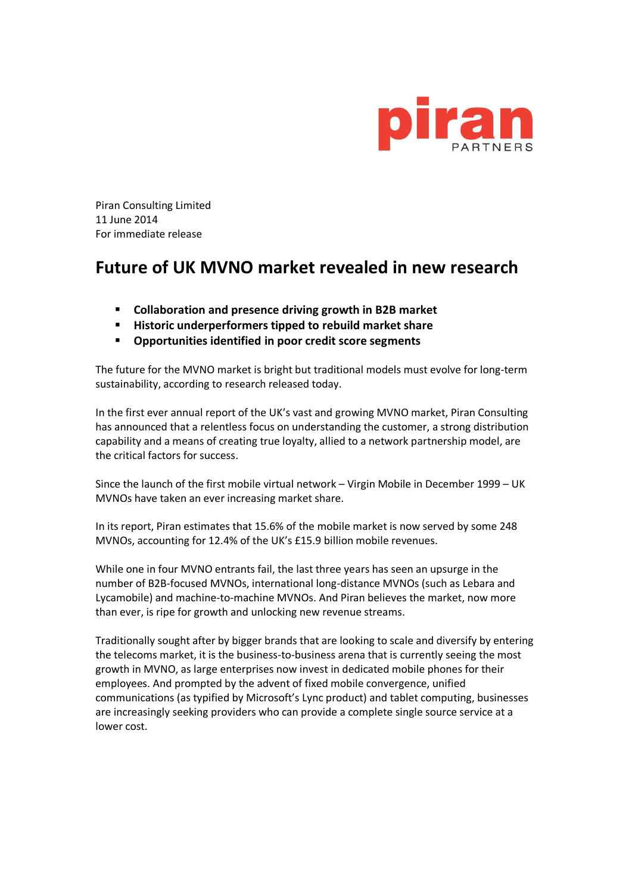

Piran Consulting Limited 11 June 2014 For immediate release

## **Future of UK MVNO market revealed in new research**

- **Collaboration and presence driving growth in B2B market**
- **Historic underperformers tipped to rebuild market share**
- **Opportunities identified in poor credit score segments**

The future for the MVNO market is bright but traditional models must evolve for long-term sustainability, according to research released today.

In the first ever annual report of the UK's vast and growing MVNO market, Piran Consulting has announced that a relentless focus on understanding the customer, a strong distribution capability and a means of creating true loyalty, allied to a network partnership model, are the critical factors for success.

Since the launch of the first mobile virtual network – Virgin Mobile in December 1999 – UK MVNOs have taken an ever increasing market share.

In its report, Piran estimates that 15.6% of the mobile market is now served by some 248 MVNOs, accounting for 12.4% of the UK's £15.9 billion mobile revenues.

While one in four MVNO entrants fail, the last three years has seen an upsurge in the number of B2B-focused MVNOs, international long-distance MVNOs (such as Lebara and Lycamobile) and machine-to-machine MVNOs. And Piran believes the market, now more than ever, is ripe for growth and unlocking new revenue streams.

Traditionally sought after by bigger brands that are looking to scale and diversify by entering the telecoms market, it is the business-to-business arena that is currently seeing the most growth in MVNO, as large enterprises now invest in dedicated mobile phones for their employees. And prompted by the advent of fixed mobile convergence, unified communications (as typified by Microsoft's Lync product) and tablet computing, businesses are increasingly seeking providers who can provide a complete single source service at a lower cost.